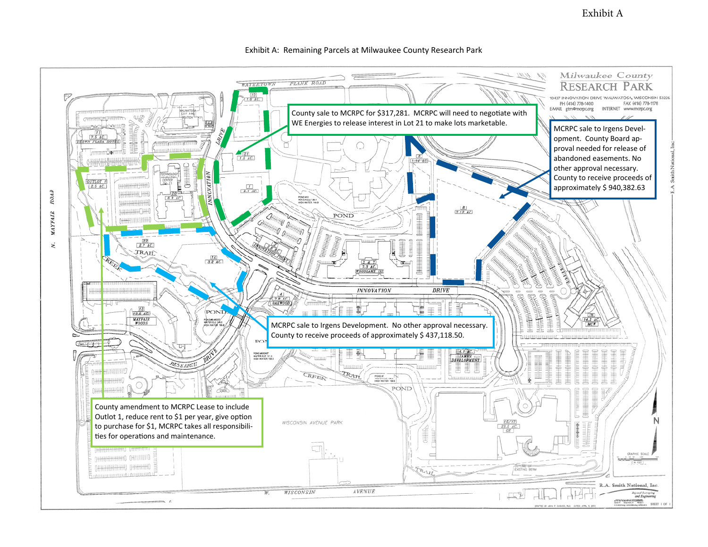Exhibit A



## Exhibit A: Remaining Parcels at Milwaukee County Research Park